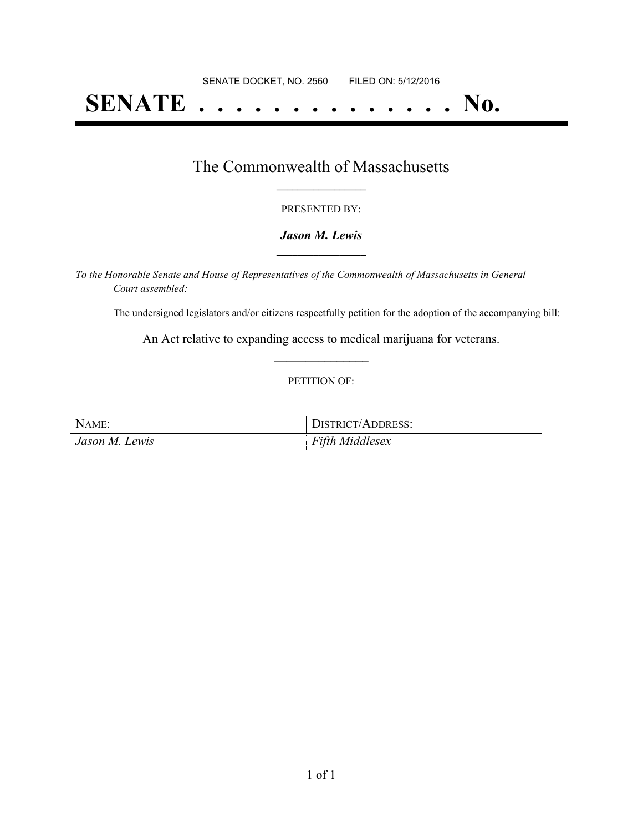# **SENATE . . . . . . . . . . . . . . No.**

### The Commonwealth of Massachusetts **\_\_\_\_\_\_\_\_\_\_\_\_\_\_\_\_\_**

#### PRESENTED BY:

#### *Jason M. Lewis* **\_\_\_\_\_\_\_\_\_\_\_\_\_\_\_\_\_**

*To the Honorable Senate and House of Representatives of the Commonwealth of Massachusetts in General Court assembled:*

The undersigned legislators and/or citizens respectfully petition for the adoption of the accompanying bill:

An Act relative to expanding access to medical marijuana for veterans. **\_\_\_\_\_\_\_\_\_\_\_\_\_\_\_**

#### PETITION OF:

| NAME:          | DISTRICT/ADDRESS: |
|----------------|-------------------|
| Jason M. Lewis | Fifth Middlesex   |